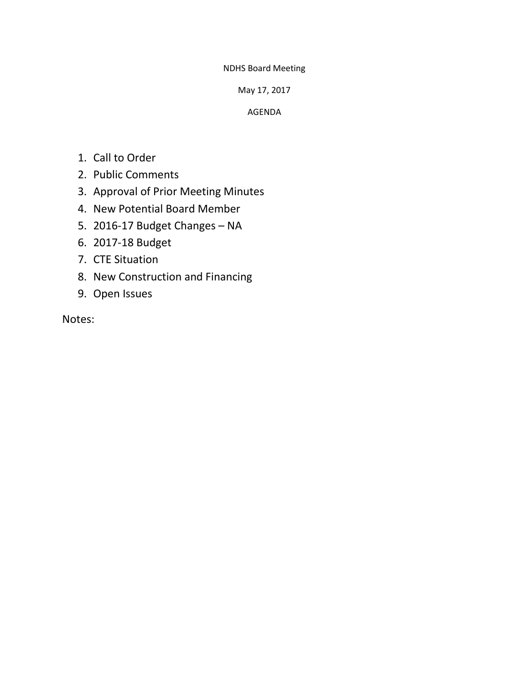NDHS Board Meeting

May 17, 2017

AGENDA

- 1. Call to Order
- 2. Public Comments
- 3. Approval of Prior Meeting Minutes
- 4. New Potential Board Member
- 5. 2016-17 Budget Changes NA
- 6. 2017-18 Budget
- 7. CTE Situation
- 8. New Construction and Financing
- 9. Open Issues

Notes: